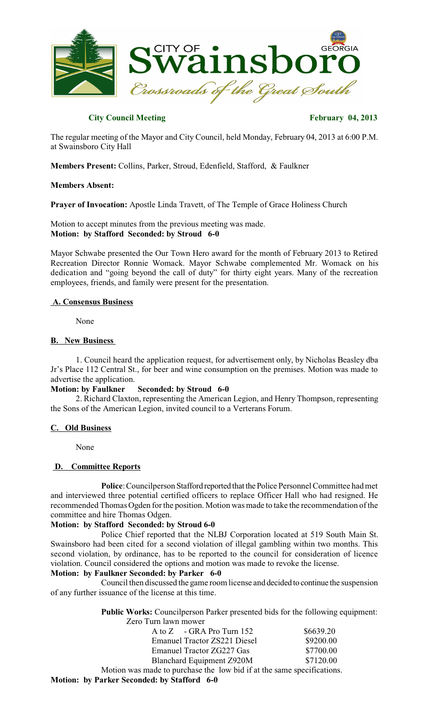

# **City Council Meeting February 04, 2013**

The regular meeting of the Mayor and City Council, held Monday, February 04, 2013 at 6:00 P.M. at Swainsboro City Hall

**Members Present:** Collins, Parker, Stroud, Edenfield, Stafford, & Faulkner

#### **Members Absent:**

**Prayer of Invocation:** Apostle Linda Travett, of The Temple of Grace Holiness Church

Motion to accept minutes from the previous meeting was made. **Motion: by Stafford Seconded: by Stroud 6-0**

Mayor Schwabe presented the Our Town Hero award for the month of February 2013 to Retired Recreation Director Ronnie Womack. Mayor Schwabe complemented Mr. Womack on his dedication and "going beyond the call of duty" for thirty eight years. Many of the recreation employees, friends, and family were present for the presentation.

#### **A. Consensus Business**

None

#### **B. New Business**

1. Council heard the application request, for advertisement only, by Nicholas Beasley dba Jr's Place 112 Central St., for beer and wine consumption on the premises. Motion was made to advertise the application.<br>Motion: by Faulkner

#### **Seconded: by Stroud 6-0**

2. Richard Claxton, representing the American Legion, and Henry Thompson, representing the Sons of the American Legion, invited council to a Verterans Forum.

# **C. Old Business**

None

# **D. Committee Reports**

**Police**: Councilperson Stafford reported that the Police Personnel Committee had met and interviewed three potential certified officers to replace Officer Hall who had resigned. He recommended Thomas Ogden for the position. Motion was made to take the recommendation of the committee and hire Thomas Odgen.

# **Motion: by Stafford Seconded: by Stroud 6-0**

Police Chief reported that the NLBJ Corporation located at 519 South Main St. Swainsboro had been cited for a second violation of illegal gambling within two months. This second violation, by ordinance, has to be reported to the council for consideration of licence violation. Council considered the options and motion was made to revoke the license.

# **Motion: by Faulkner Seconded: by Parker 6-0**

Council then discussed the game room license and decided to continue the suspension of any further issuance of the license at this time.

> **Public Works:** Councilperson Parker presented bids for the following equipment: Zero Turn lawn mower

| A to Z - GRA Pro Turn 152                                              | \$6639.20 |
|------------------------------------------------------------------------|-----------|
| <b>Emanuel Tractor ZS221 Diesel</b>                                    | \$9200.00 |
| <b>Emanuel Tractor ZG227 Gas</b>                                       | \$7700.00 |
| <b>Blanchard Equipment Z920M</b>                                       | \$7120.00 |
| Motion was made to purchase the low bid if at the same specifications. |           |
| Motion: by Parker Seconded: by Stafford 6-0                            |           |